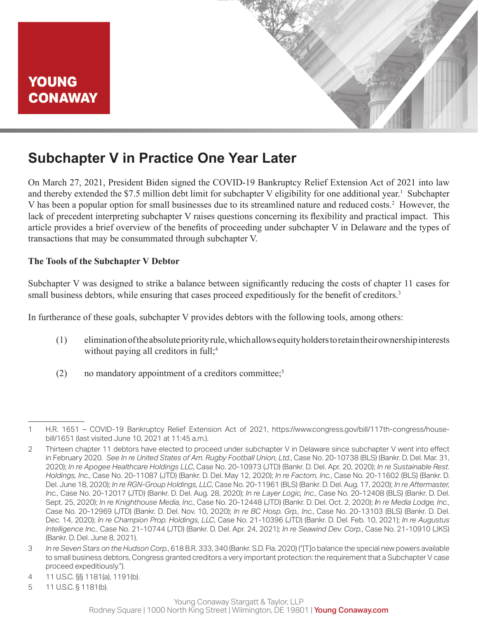

# **Subchapter V in Practice One Year Later**

On March 27, 2021, President Biden signed the COVID-19 Bankruptcy Relief Extension Act of 2021 into law and thereby extended the \$7.5 million debt limit for subchapter V eligibility for one additional year.<sup>1</sup> Subchapter V has been a popular option for small businesses due to its streamlined nature and reduced costs.<sup>2</sup> However, the lack of precedent interpreting subchapter V raises questions concerning its flexibility and practical impact. This article provides a brief overview of the benefits of proceeding under subchapter V in Delaware and the types of transactions that may be consummated through subchapter V.

#### **The Tools of the Subchapter V Debtor**

Subchapter V was designed to strike a balance between significantly reducing the costs of chapter 11 cases for small business debtors, while ensuring that cases proceed expeditiously for the benefit of creditors.<sup>3</sup>

In furtherance of these goals, subchapter V provides debtors with the following tools, among others:

- (1) elimination of the absolute priority rule, which allows equity holders to retain their ownership interests without paying all creditors in full;<sup>4</sup>
- (2) no mandatory appointment of a creditors committee;<sup>5</sup>

- 3 *In re Seven Stars on the Hudson Corp.*, 618 B.R. 333, 340 (Bankr. S.D. Fla. 2020) ("[T]o balance the special new powers available to small business debtors, Congress granted creditors a very important protection: the requirement that a Subchapter V case proceed expeditiously.").
- 4 11 U.S.C. §§ 1181(a), 1191(b).
- 5 11 U.S.C. § 1181(b).

<sup>1</sup> H.R. 1651 – COVID-19 Bankruptcy Relief Extension Act of 2021, https://www.congress.gov/bill/117th-congress/housebill/1651 (last visited June 10, 2021 at 11:45 a.m.).

<sup>2</sup> Thirteen chapter 11 debtors have elected to proceed under subchapter V in Delaware since subchapter V went into effect in February 2020. *See In re United States of Am. Rugby Football Union, Ltd.*, Case No. 20-10738 (BLS) (Bankr. D. Del. Mar. 31, 2020); *In re Apogee Healthcare Holdings LLC*, Case No. 20-10973 (JTD) (Bankr. D. Del. Apr. 20, 2020); *In re Sustainable Rest. Holdings, Inc.*, Case No. 20-11087 (JTD) (Bankr. D. Del. May 12, 2020); *In re Factom, Inc.*, Case No. 20-11602 (BLS) (Bankr. D. Del. June 18, 2020); *In re RGN-Group Holdings, LLC*, Case No. 20-11961 (BLS) (Bankr. D. Del. Aug. 17, 2020); *In re Aftermaster, Inc.*, Case No. 20-12017 (JTD) (Bankr. D. Del. Aug. 28, 2020); *In re Layer Logic, Inc.*, Case No. 20-12408 (BLS) (Bankr. D. Del. Sept. 25, 2020); *In re Knighthouse Media, Inc.*, Case No. 20-12448 (JTD) (Bankr. D. Del. Oct. 2, 2020); *In re Media Lodge, Inc.*, Case No. 20-12969 (JTD) (Bankr. D. Del. Nov. 10, 2020); *In re BC Hosp. Grp., Inc.*, Case No. 20-13103 (BLS) (Bankr. D. Del. Dec. 14, 2020); *In re Champion Prop. Holdings, LLC*, Case No. 21-10396 (JTD) (Bankr. D. Del. Feb. 10, 2021); *In re Augustus Intelligence Inc.*, Case No. 21-10744 (JTD) (Bankr. D. Del. Apr. 24, 2021); *In re Seawind Dev. Corp.*, Case No. 21-10910 (JKS) (Bankr. D. Del. June 8, 2021).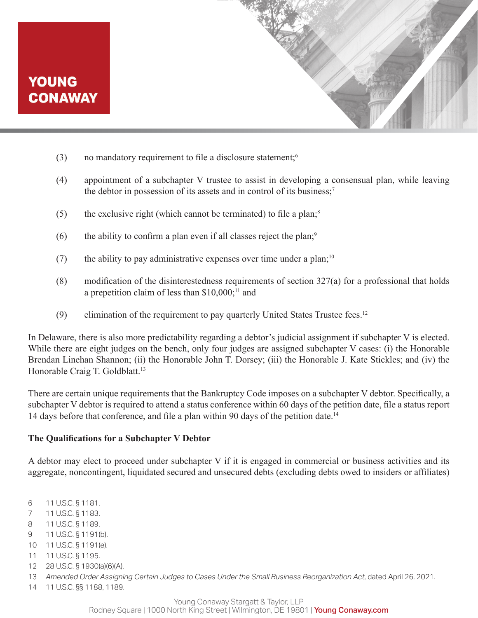- (3) no mandatory requirement to file a disclosure statement;<sup>6</sup>
- (4) appointment of a subchapter V trustee to assist in developing a consensual plan, while leaving the debtor in possession of its assets and in control of its business;<sup>7</sup>
- (5) the exclusive right (which cannot be terminated) to file a plan; $^8$
- (6) the ability to confirm a plan even if all classes reject the plan;<sup>9</sup>
- (7) the ability to pay administrative expenses over time under a plan;<sup>10</sup>
- (8) modification of the disinterestedness requirements of section 327(a) for a professional that holds a prepetition claim of less than  $$10,000;^{11}$  and
- (9) elimination of the requirement to pay quarterly United States Trustee fees.<sup>12</sup>

In Delaware, there is also more predictability regarding a debtor's judicial assignment if subchapter V is elected. While there are eight judges on the bench, only four judges are assigned subchapter V cases: (i) the Honorable Brendan Linehan Shannon; (ii) the Honorable John T. Dorsey; (iii) the Honorable J. Kate Stickles; and (iv) the Honorable Craig T. Goldblatt.<sup>13</sup>

There are certain unique requirements that the Bankruptcy Code imposes on a subchapter V debtor. Specifically, a subchapter V debtor is required to attend a status conference within 60 days of the petition date, file a status report 14 days before that conference, and file a plan within 90 days of the petition date.<sup>14</sup>

#### **The Qualifications for a Subchapter V Debtor**

A debtor may elect to proceed under subchapter V if it is engaged in commercial or business activities and its aggregate, noncontingent, liquidated secured and unsecured debts (excluding debts owed to insiders or affiliates)

- 7 11 U.S.C. § 1183.
- 8 11 U.S.C. § 1189.
- 9 11 U.S.C. § 1191(b).
- 10 11 U.S.C. § 1191(e).
- 11 11 U.S.C. § 1195.
- 12 28 U.S.C. § 1930(a)(6)(A).
- 13 *Amended Order Assigning Certain Judges to Cases Under the Small Business Reorganization Act*, dated April 26, 2021.
- 14 11 U.S.C. §§ 1188, 1189.

Rodney Square | 1000 North King Street | Wilmington, DE 19801 | Young Conaway.com

<sup>6</sup> 11 U.S.C. § 1181.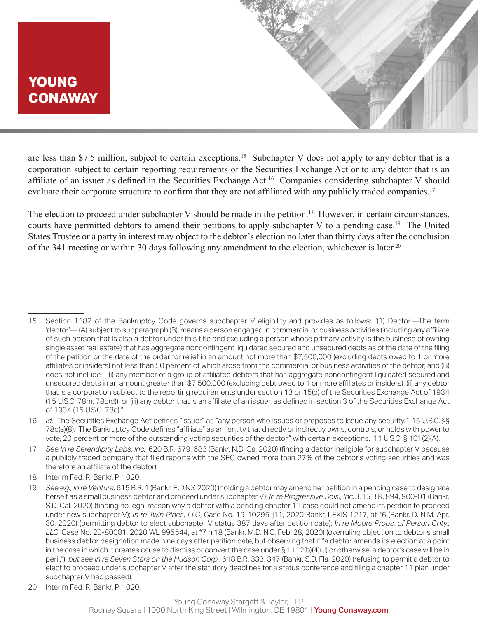are less than \$7.5 million, subject to certain exceptions.<sup>15</sup> Subchapter V does not apply to any debtor that is a corporation subject to certain reporting requirements of the Securities Exchange Act or to any debtor that is an affiliate of an issuer as defined in the Securities Exchange Act.16 Companies considering subchapter V should evaluate their corporate structure to confirm that they are not affiliated with any publicly traded companies.<sup>17</sup>

The election to proceed under subchapter V should be made in the petition.<sup>18</sup> However, in certain circumstances, courts have permitted debtors to amend their petitions to apply subchapter V to a pending case.<sup>19</sup> The United States Trustee or a party in interest may object to the debtor's election no later than thirty days after the conclusion of the 341 meeting or within 30 days following any amendment to the election, whichever is later.20

20 Interim Fed. R. Bankr. P. 1020.

<sup>15</sup> Section 1182 of the Bankruptcy Code governs subchapter V eligibility and provides as follows: "(1) Debtor.—The term 'debtor'— (A) subject to subparagraph (B), means a person engaged in commercial or business activities (including any affiliate of such person that is also a debtor under this title and excluding a person whose primary activity is the business of owning single asset real estate) that has aggregate noncontingent liquidated secured and unsecured debts as of the date of the filing of the petition or the date of the order for relief in an amount not more than \$7,500,000 (excluding debts owed to 1 or more affiliates or insiders) not less than 50 percent of which arose from the commercial or business activities of the debtor; and (B) does not include-- (i) any member of a group of affiliated debtors that has aggregate noncontingent liquidated secured and unsecured debts in an amount greater than \$7,500,000 (excluding debt owed to 1 or more affiliates or insiders); (ii) any debtor that is a corporation subject to the reporting requirements under section 13 or 15(d) of the Securities Exchange Act of 1934 (15 U.S.C. 78m, 78o(d)); or (iii) any debtor that is an affiliate of an issuer, as defined in section 3 of the Securities Exchange Act of 1934 (15 U.S.C. 78c)."

<sup>16</sup> *Id.* The Securities Exchange Act defines "issuer" as "any person who issues or proposes to issue any security." 15 U.S.C. §§ 78c(a)(8). The Bankruptcy Code defines "affiliate" as an "entity that directly or indirectly owns, controls, or holds with power to vote, 20 percent or more of the outstanding voting securities of the debtor," with certain exceptions. 11 U.S.C. § 101(2)(A).

<sup>17</sup> *See In re Serendipity Labs, Inc.*, 620 B.R. 679, 683 (Bankr. N.D. Ga. 2020) (finding a debtor ineligible for subchapter V because a publicly traded company that filed reports with the SEC owned more than 27% of the debtor's voting securities and was therefore an affiliate of the debtor).

<sup>18</sup> Interim Fed. R. Bankr. P. 1020.

<sup>19</sup> *See e.g., In re Ventura,* 615 B.R. 1 (Bankr. E.D.N.Y. 2020) (holding a debtor may amend her petition in a pending case to designate herself as a small business debtor and proceed under subchapter V); *In re Progressive Sols., Inc.*, 615 B.R. 894, 900-01 (Bankr. S.D. Cal. 2020) (finding no legal reason why a debtor with a pending chapter 11 case could not amend its petition to proceed under new subchapter V); *In re Twin Pines, LLC*, Case No. 19-10295-j11, 2020 Bankr. LEXIS 1217, at \*6 (Bankr. D. N.M. Apr. 30, 2020) (permitting debtor to elect subchapter V status 387 days after petition date); *In re Moore Props. of Person Cnty., LLC*, Case No. 20-80081, 2020 WL 995544, at \*7 n.18 (Bankr. M.D. N.C. Feb. 28, 2020) (overruling objection to debtor's small business debtor designation made nine days after petition date, but observing that if "a debtor amends its election at a point in the case in which it creates cause to dismiss or convert the case under § 1112(b)(4)(J) or otherwise, a debtor's case will be in peril."); *but see In re Seven Stars on the Hudson Corp.*, 618 B.R. 333, 347 (Bankr. S.D. Fla. 2020) (refusing to permit a debtor to elect to proceed under subchapter V after the statutory deadlines for a status conference and filing a chapter 11 plan under subchapter V had passed).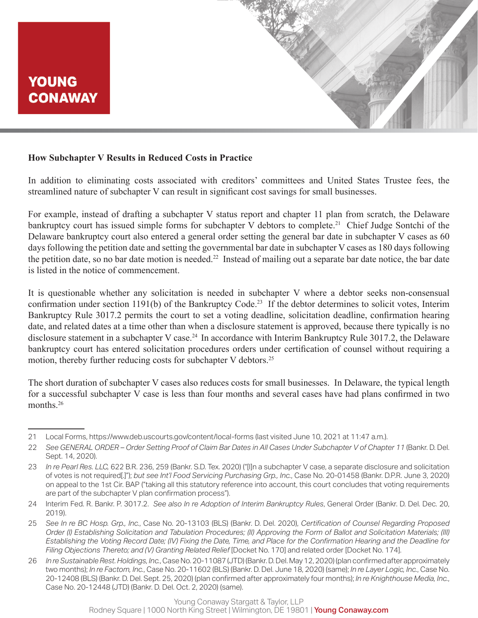

#### **How Subchapter V Results in Reduced Costs in Practice**

In addition to eliminating costs associated with creditors' committees and United States Trustee fees, the streamlined nature of subchapter V can result in significant cost savings for small businesses.

For example, instead of drafting a subchapter V status report and chapter 11 plan from scratch, the Delaware bankruptcy court has issued simple forms for subchapter V debtors to complete.<sup>21</sup> Chief Judge Sontchi of the Delaware bankruptcy court also entered a general order setting the general bar date in subchapter V cases as 60 days following the petition date and setting the governmental bar date in subchapter V cases as 180 days following the petition date, so no bar date motion is needed.<sup>22</sup> Instead of mailing out a separate bar date notice, the bar date is listed in the notice of commencement.

It is questionable whether any solicitation is needed in subchapter V where a debtor seeks non-consensual confirmation under section 1191(b) of the Bankruptcy Code.23 If the debtor determines to solicit votes, Interim Bankruptcy Rule 3017.2 permits the court to set a voting deadline, solicitation deadline, confirmation hearing date, and related dates at a time other than when a disclosure statement is approved, because there typically is no disclosure statement in a subchapter V case.<sup>24</sup> In accordance with Interim Bankruptcy Rule 3017.2, the Delaware bankruptcy court has entered solicitation procedures orders under certification of counsel without requiring a motion, thereby further reducing costs for subchapter V debtors.<sup>25</sup>

The short duration of subchapter V cases also reduces costs for small businesses. In Delaware, the typical length for a successful subchapter V case is less than four months and several cases have had plans confirmed in two months<sup>26</sup>

<sup>21</sup> Local Forms, https://www.deb.uscourts.gov/content/local-forms (last visited June 10, 2021 at 11:47 a.m.).

<sup>22</sup> *See GENERAL ORDER – Order Setting Proof of Claim Bar Dates in All Cases Under Subchapter V of Chapter 11* (Bankr. D. Del. Sept. 14, 2020).

<sup>23</sup> *In re Pearl Res. LLC,* 622 B.R. 236, 259 (Bankr. S.D. Tex. 2020) ("[I]n a subchapter V case, a separate disclosure and solicitation of votes is not required[.]"); *but see Int'l Food Servicing Purchasing Grp., Inc.*, Case No. 20-01458 (Bankr. D.P.R. June 3, 2020) on appeal to the 1st Cir. BAP ("taking all this statutory reference into account, this court concludes that voting requirements are part of the subchapter V plan confirmation process").

<sup>24</sup> Interim Fed. R. Bankr. P. 3017.2. *See also In re Adoption of Interim Bankruptcy Rules*, General Order (Bankr. D. Del. Dec. 20, 2019).

<sup>25</sup> *See In re BC Hosp. Grp., Inc.*, Case No. 20-13103 (BLS) (Bankr. D. Del. 2020), *Certification of Counsel Regarding Proposed Order (I) Establishing Solicitation and Tabulation Procedures; (II) Approving the Form of Ballot and Solicitation Materials; (III) Establishing the Voting Record Date; (IV) Fixing the Date, Time, and Place for the Confirmation Hearing and the Deadline for Filing Objections Thereto; and (V) Granting Related Relief* [Docket No. 170] and related order [Docket No. 174].

<sup>26</sup> *In re Sustainable Rest. Holdings, Inc.*, CaseNo. 20-11087(JTD) (Bankr. D. Del. May 12, 2020) (plan confirmed after approximately two months); *In re Factom, Inc.*, Case No. 20-11602 (BLS) (Bankr. D. Del. June 18, 2020) (same); *In re Layer Logic, Inc.*, Case No. 20-12408 (BLS) (Bankr. D. Del. Sept. 25, 2020) (plan confirmed after approximately four months); *In re Knighthouse Media, Inc.*, Case No. 20-12448 (JTD) (Bankr. D. Del. Oct. 2, 2020) (same).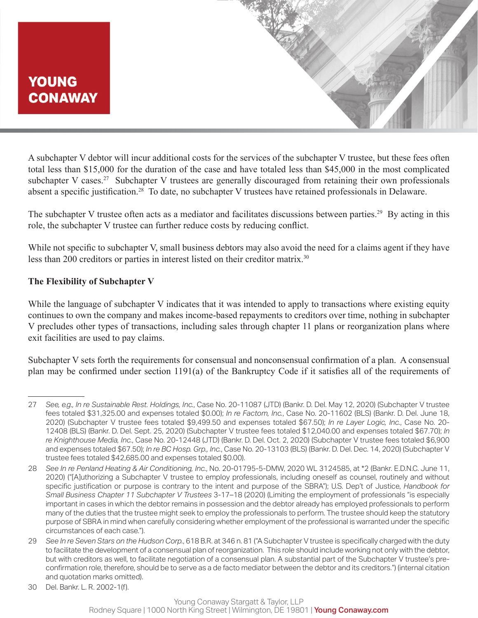A subchapter V debtor will incur additional costs for the services of the subchapter V trustee, but these fees often total less than \$15,000 for the duration of the case and have totaled less than \$45,000 in the most complicated subchapter V cases.<sup>27</sup> Subchapter V trustees are generally discouraged from retaining their own professionals absent a specific justification.<sup>28</sup> To date, no subchapter V trustees have retained professionals in Delaware.

The subchapter V trustee often acts as a mediator and facilitates discussions between parties.<sup>29</sup> By acting in this role, the subchapter V trustee can further reduce costs by reducing conflict.

While not specific to subchapter V, small business debtors may also avoid the need for a claims agent if they have less than 200 creditors or parties in interest listed on their creditor matrix.<sup>30</sup>

#### **The Flexibility of Subchapter V**

While the language of subchapter V indicates that it was intended to apply to transactions where existing equity continues to own the company and makes income-based repayments to creditors over time, nothing in subchapter V precludes other types of transactions, including sales through chapter 11 plans or reorganization plans where exit facilities are used to pay claims.

Subchapter V sets forth the requirements for consensual and nonconsensual confirmation of a plan. A consensual plan may be confirmed under section 1191(a) of the Bankruptcy Code if it satisfies all of the requirements of

<sup>27</sup> *See, e.g., In re Sustainable Rest. Holdings, Inc.*, Case No. 20-11087 (JTD) (Bankr. D. Del. May 12, 2020) (Subchapter V trustee fees totaled \$31,325.00 and expenses totaled \$0.00); *In re Factom, Inc.*, Case No. 20-11602 (BLS) (Bankr. D. Del. June 18, 2020) (Subchapter V trustee fees totaled \$9,499.50 and expenses totaled \$67.50); *In re Layer Logic, Inc.*, Case No. 20- 12408 (BLS) (Bankr. D. Del. Sept. 25, 2020) (Subchapter V trustee fees totaled \$12,040.00 and expenses totaled \$67.70); *In re Knighthouse Media, Inc.*, Case No. 20-12448 (JTD) (Bankr. D. Del. Oct. 2, 2020) (Subchapter V trustee fees totaled \$6,900 and expenses totaled \$67.50); *In re BC Hosp. Grp., Inc.*, Case No. 20-13103 (BLS) (Bankr. D. Del. Dec. 14, 2020) (Subchapter V trustee fees totaled \$42,685.00 and expenses totaled \$0.00).

<sup>28</sup> *See In re Penland Heating & Air Conditioning, Inc.*, No. 20-01795-5-DMW, 2020 WL 3124585, at \*2 (Bankr. E.D.N.C. June 11, 2020) ("[A]uthorizing a Subchapter V trustee to employ professionals, including oneself as counsel, routinely and without specific justification or purpose is contrary to the intent and purpose of the SBRA"); U.S. Dep't of Justice, *Handbook for Small Business Chapter 11 Subchapter V Trustees* 3-17–18 (2020) (Limiting the employment of professionals "is especially important in cases in which the debtor remains in possession and the debtor already has employed professionals to perform many of the duties that the trustee might seek to employ the professionals to perform. The trustee should keep the statutory purpose of SBRA in mind when carefully considering whether employment of the professional is warranted under the specific circumstances of each case.").

<sup>29</sup> *See In re Seven Stars on the Hudson Corp.*, 618 B.R. at 346 n. 81 ("A Subchapter V trustee is specifically charged with the duty to facilitate the development of a consensual plan of reorganization. This role should include working not only with the debtor, but with creditors as well, to facilitate negotiation of a consensual plan. A substantial part of the Subchapter V trustee's preconfirmation role, therefore, should be to serve as a de facto mediator between the debtor and its creditors.") (internal citation and quotation marks omitted).

<sup>30</sup> Del. Bankr. L. R. 2002-1(f).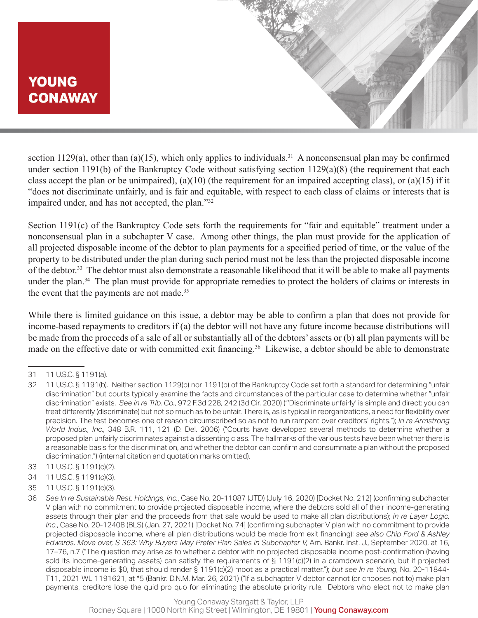section 1129(a), other than (a)(15), which only applies to individuals.<sup>31</sup> A nonconsensual plan may be confirmed under section 1191(b) of the Bankruptcy Code without satisfying section 1129(a)(8) (the requirement that each class accept the plan or be unimpaired), (a)(10) (the requirement for an impaired accepting class), or (a)(15) if it "does not discriminate unfairly, and is fair and equitable, with respect to each class of claims or interests that is impaired under, and has not accepted, the plan."32

Section 1191(c) of the Bankruptcy Code sets forth the requirements for "fair and equitable" treatment under a nonconsensual plan in a subchapter V case. Among other things, the plan must provide for the application of all projected disposable income of the debtor to plan payments for a specified period of time, or the value of the property to be distributed under the plan during such period must not be less than the projected disposable income of the debtor.33 The debtor must also demonstrate a reasonable likelihood that it will be able to make all payments under the plan.<sup>34</sup> The plan must provide for appropriate remedies to protect the holders of claims or interests in the event that the payments are not made.<sup>35</sup>

While there is limited guidance on this issue, a debtor may be able to confirm a plan that does not provide for income-based repayments to creditors if (a) the debtor will not have any future income because distributions will be made from the proceeds of a sale of all or substantially all of the debtors' assets or (b) all plan payments will be made on the effective date or with committed exit financing.<sup>36</sup> Likewise, a debtor should be able to demonstrate

- 33 11 U.S.C. § 1191(c)(2).
- 34 11 U.S.C. § 1191(c)(3).
- 35 11 U.S.C. § 1191(c)(3).

<sup>31</sup> 11 U.S.C. § 1191(a).

<sup>32</sup> 11 U.S.C. § 1191(b). Neither section 1129(b) nor 1191(b) of the Bankruptcy Code set forth a standard for determining "unfair discrimination" but courts typically examine the facts and circumstances of the particular case to determine whether "unfair discrimination" exists. *See In re Trib. Co.*, 972 F.3d 228, 242 (3d Cir. 2020) ("'Discriminate unfairly' is simple and direct: you can treat differently (discriminate) but not so much as to be unfair. There is, as is typical in reorganizations, a need for flexibility over precision. The test becomes one of reason circumscribed so as not to run rampant over creditors' rights."); *In re Armstrong World Indus., Inc.,* 348 B.R. 111, 121 (D. Del. 2006) ("Courts have developed several methods to determine whether a proposed plan unfairly discriminates against a dissenting class. The hallmarks of the various tests have been whether there is a reasonable basis for the discrimination, and whether the debtor can confirm and consummate a plan without the proposed discrimination.") (internal citation and quotation marks omitted).

<sup>36</sup> *See In re Sustainable Rest. Holdings, Inc.*, Case No. 20-11087 (JTD) (July 16, 2020) [Docket No. 212] (confirming subchapter V plan with no commitment to provide projected disposable income, where the debtors sold all of their income-generating assets through their plan and the proceeds from that sale would be used to make all plan distributions); *In re Layer Logic, Inc.*, Case No. 20-12408 (BLS) (Jan. 27, 2021) [Docket No. 74] (confirming subchapter V plan with no commitment to provide projected disposable income, where all plan distributions would be made from exit financing); *see also Chip Ford & Ashley Edwards, Move over, S 363: Why Buyers May Prefer Plan Sales in Subchapter V,* Am. Bankr. Inst. J., September 2020, at 16, 17–76, n.7 ("The question may arise as to whether a debtor with no projected disposable income post-confirmation (having sold its income-generating assets) can satisfy the requirements of § 1191(c)(2) in a cramdown scenario, but if projected disposable income is \$0, that should render § 1191(c)(2) moot as a practical matter."); *but see In re Young*, No. 20-11844- T11, 2021 WL 1191621, at \*5 (Bankr. D.N.M. Mar. 26, 2021) ("If a subchapter V debtor cannot (or chooses not to) make plan payments, creditors lose the quid pro quo for eliminating the absolute priority rule. Debtors who elect not to make plan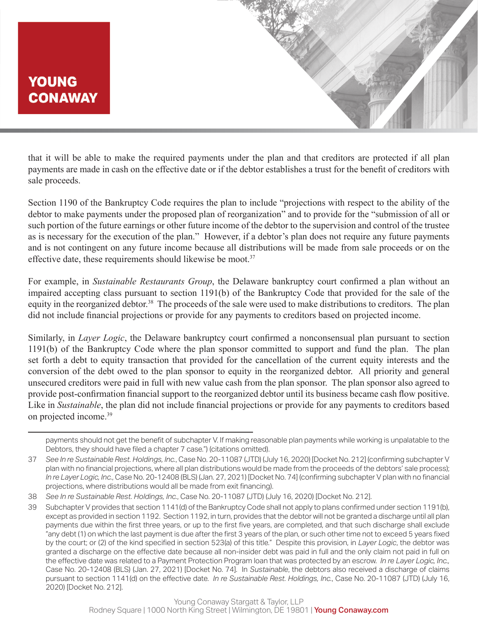

that it will be able to make the required payments under the plan and that creditors are protected if all plan payments are made in cash on the effective date or if the debtor establishes a trust for the benefit of creditors with sale proceeds.

Section 1190 of the Bankruptcy Code requires the plan to include "projections with respect to the ability of the debtor to make payments under the proposed plan of reorganization" and to provide for the "submission of all or such portion of the future earnings or other future income of the debtor to the supervision and control of the trustee as is necessary for the execution of the plan." However, if a debtor's plan does not require any future payments and is not contingent on any future income because all distributions will be made from sale proceeds or on the effective date, these requirements should likewise be moot.<sup>37</sup>

For example, in *Sustainable Restaurants Group*, the Delaware bankruptcy court confirmed a plan without an impaired accepting class pursuant to section 1191(b) of the Bankruptcy Code that provided for the sale of the equity in the reorganized debtor.<sup>38</sup> The proceeds of the sale were used to make distributions to creditors. The plan did not include financial projections or provide for any payments to creditors based on projected income.

Similarly, in *Layer Logic*, the Delaware bankruptcy court confirmed a nonconsensual plan pursuant to section 1191(b) of the Bankruptcy Code where the plan sponsor committed to support and fund the plan. The plan set forth a debt to equity transaction that provided for the cancellation of the current equity interests and the conversion of the debt owed to the plan sponsor to equity in the reorganized debtor. All priority and general unsecured creditors were paid in full with new value cash from the plan sponsor. The plan sponsor also agreed to provide post-confirmation financial support to the reorganized debtor until its business became cash flow positive. Like in *Sustainable*, the plan did not include financial projections or provide for any payments to creditors based on projected income.<sup>39</sup>

payments should not get the benefit of subchapter V. If making reasonable plan payments while working is unpalatable to the Debtors, they should have filed a chapter 7 case.") (citations omitted).

<sup>37</sup> *See In re Sustainable Rest. Holdings, Inc.*, Case No. 20-11087 (JTD) (July 16, 2020) [Docket No. 212] (confirming subchapter V plan with no financial projections, where all plan distributions would be made from the proceeds of the debtors' sale process); *In re Layer Logic, Inc.*, Case No. 20-12408 (BLS) (Jan. 27, 2021) [Docket No. 74] (confirming subchapter V plan with no financial projections, where distributions would all be made from exit financing).

<sup>38</sup> *See In re Sustainable Rest. Holdings, Inc.*, Case No. 20-11087 (JTD) (July 16, 2020) [Docket No. 212].

<sup>39</sup> Subchapter V provides that section 1141(d) of the Bankruptcy Code shall not apply to plans confirmed under section 1191(b), except as provided in section 1192. Section 1192, in turn, provides that the debtor will not be granted a discharge until all plan payments due within the first three years, or up to the first five years, are completed, and that such discharge shall exclude "any debt (1) on which the last payment is due after the first 3 years of the plan, or such other time not to exceed 5 years fixed by the court; or (2) of the kind specified in section 523(a) of this title." Despite this provision, in *Layer Logic*, the debtor was granted a discharge on the effective date because all non-insider debt was paid in full and the only claim not paid in full on the effective date was related to a Payment Protection Program loan that was protected by an escrow. *In re Layer Logic, Inc.,*  Case No. 20-12408 (BLS) (Jan. 27, 2021) [Docket No. 74]. In *Sustainable*, the debtors also received a discharge of claims pursuant to section 1141(d) on the effective date. *In re Sustainable Rest. Holdings, Inc.*, Case No. 20-11087 (JTD) (July 16, 2020) [Docket No. 212].